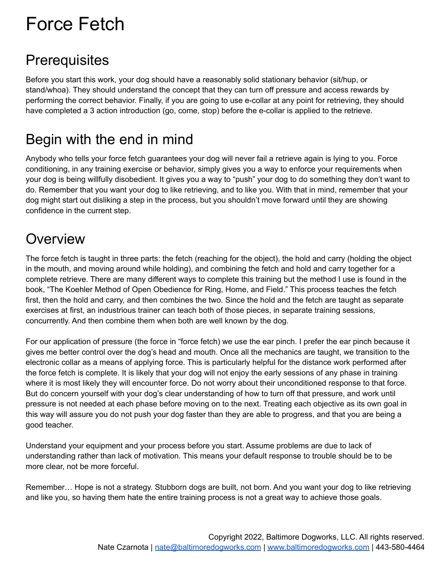# Force Fetch

### **Prerequisites**

Before you start this work, your dog should have a reasonably solid stationary behavior (sit/hup, or stand/whoa). They should understand the concept that they can turn off pressure and access rewards by performing the correct behavior. Finally, if you are going to use e-collar at any point for retrieving, they should have completed a 3 action introduction (go, come, stop) before the e-collar is applied to the retrieve.

# Begin with the end in mind

Anybody who tells your force fetch guarantees your dog will never fail a retrieve again is lying to you. Force conditioning, in any training exercise or behavior, simply gives you a way to enforce your requirements when your dog is being willfully disobedient. It gives you a way to "push" your dog to do something they don't want to do. Remember that you want your dog to like retrieving, and to like you. With that in mind, remember that your dog might start out disliking a step in the process, but you shouldn't move forward until they are showing confidence in the current step.

# **Overview**

The force fetch is taught in three parts: the fetch (reaching for the object), the hold and carry (holding the object in the mouth, and moving around while holding), and combining the fetch and hold and carry together for a complete retrieve. There are many different ways to complete this training but the method I use is found in the book, "The Koehler Method of Open Obedience for Ring, Home, and Field." This process teaches the fetch first, then the hold and carry, and then combines the two. Since the hold and the fetch are taught as separate exercises at first, an industrious trainer can teach both of those pieces, in separate training sessions, concurrently. And then combine them when both are well known by the dog.

For our application of pressure (the force in "force fetch) we use the ear pinch. I prefer the ear pinch because it gives me better control over the dog's head and mouth. Once all the mechanics are taught, we transition to the electronic collar as a means of applying force. This is particularly helpful for the distance work performed after the force fetch is complete. It is likely that your dog will not enjoy the early sessions of any phase in training where it is most likely they will encounter force. Do not worry about their unconditioned response to that force. But do concern yourself with your dog's clear understanding of how to turn off that pressure, and work until pressure is not needed at each phase before moving on to the next. Treating each objective as its own goal in this way will assure you do not push your dog faster than they are able to progress, and that you are being a good teacher.

Understand your equipment and your process before you start. Assume problems are due to lack of understanding rather than lack of motivation. This means your default response to trouble should be to be more clear, not be more forceful.

Remember… Hope is not a strategy. Stubborn dogs are built, not born. And you want your dog to like retrieving and like you, so having them hate the entire training process is not a great way to achieve those goals.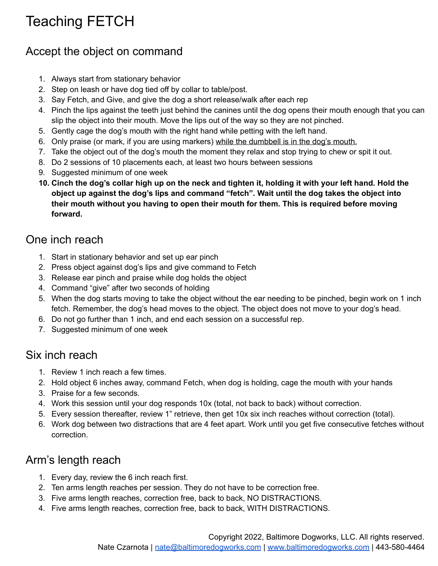# Teaching FETCH

#### Accept the object on command

- 1. Always start from stationary behavior
- 2. Step on leash or have dog tied off by collar to table/post.
- 3. Say Fetch, and Give, and give the dog a short release/walk after each rep
- 4. Pinch the lips against the teeth just behind the canines until the dog opens their mouth enough that you can slip the object into their mouth. Move the lips out of the way so they are not pinched.
- 5. Gently cage the dog's mouth with the right hand while petting with the left hand.
- 6. Only praise (or mark, if you are using markers) while the dumbbell is in the dog's mouth.
- 7. Take the object out of the dog's mouth the moment they relax and stop trying to chew or spit it out.
- 8. Do 2 sessions of 10 placements each, at least two hours between sessions
- 9. Suggested minimum of one week
- 10. Cinch the dog's collar high up on the neck and tighten it, holding it with your left hand. Hold the **object up against the dog's lips and command "fetch". Wait until the dog takes the object into their mouth without you having to open their mouth for them. This is required before moving forward.**

#### One inch reach

- 1. Start in stationary behavior and set up ear pinch
- 2. Press object against dog's lips and give command to Fetch
- 3. Release ear pinch and praise while dog holds the object
- 4. Command "give" after two seconds of holding
- 5. When the dog starts moving to take the object without the ear needing to be pinched, begin work on 1 inch fetch. Remember, the dog's head moves to the object. The object does not move to your dog's head.
- 6. Do not go further than 1 inch, and end each session on a successful rep.
- 7. Suggested minimum of one week

#### Six inch reach

- 1. Review 1 inch reach a few times.
- 2. Hold object 6 inches away, command Fetch, when dog is holding, cage the mouth with your hands
- 3. Praise for a few seconds.
- 4. Work this session until your dog responds 10x (total, not back to back) without correction.
- 5. Every session thereafter, review 1" retrieve, then get 10x six inch reaches without correction (total).
- 6. Work dog between two distractions that are 4 feet apart. Work until you get five consecutive fetches without correction.

#### Arm's length reach

- 1. Every day, review the 6 inch reach first.
- 2. Ten arms length reaches per session. They do not have to be correction free.
- 3. Five arms length reaches, correction free, back to back, NO DISTRACTIONS.
- 4. Five arms length reaches, correction free, back to back, WITH DISTRACTIONS.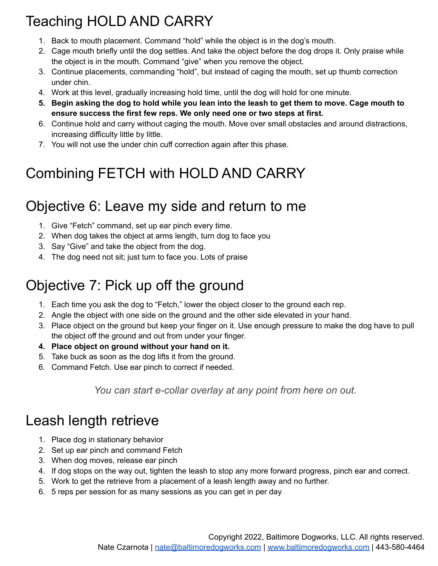# Teaching HOLD AND CARRY

- 1. Back to mouth placement. Command "hold" while the object is in the dog's mouth.
- 2. Cage mouth briefly until the dog settles. And take the object before the dog drops it. Only praise while the object is in the mouth. Command "give" when you remove the object.
- 3. Continue placements, commanding "hold", but instead of caging the mouth, set up thumb correction under chin.
- 4. Work at this level, gradually increasing hold time, until the dog will hold for one minute.
- 5. Begin asking the dog to hold while you lean into the leash to get them to move. Cage mouth to **ensure success the first few reps. We only need one or two steps at first.**
- 6. Continue hold and carry without caging the mouth. Move over small obstacles and around distractions, increasing difficulty little by little.
- 7. You will not use the under chin cuff correction again after this phase.

# Combining FETCH with HOLD AND CARRY

### Objective 6: Leave my side and return to me

- 1. Give "Fetch" command, set up ear pinch every time.
- 2. When dog takes the object at arms length, turn dog to face you
- 3. Say "Give" and take the object from the dog.
- 4. The dog need not sit; just turn to face you. Lots of praise

# Objective 7: Pick up off the ground

- 1. Each time you ask the dog to "Fetch," lower the object closer to the ground each rep.
- 2. Angle the object with one side on the ground and the other side elevated in your hand.
- 3. Place object on the ground but keep your finger on it. Use enough pressure to make the dog have to pull the object off the ground and out from under your finger.
- **4. Place object on ground without your hand on it.**
- 5. Take buck as soon as the dog lifts it from the ground.
- 6. Command Fetch. Use ear pinch to correct if needed.

*You can start e-collar overlay at any point from here on out.*

### Leash length retrieve

- 1. Place dog in stationary behavior
- 2. Set up ear pinch and command Fetch
- 3. When dog moves, release ear pinch
- 4. If dog stops on the way out, tighten the leash to stop any more forward progress, pinch ear and correct.
- 5. Work to get the retrieve from a placement of a leash length away and no further.
- 6. 5 reps per session for as many sessions as you can get in per day